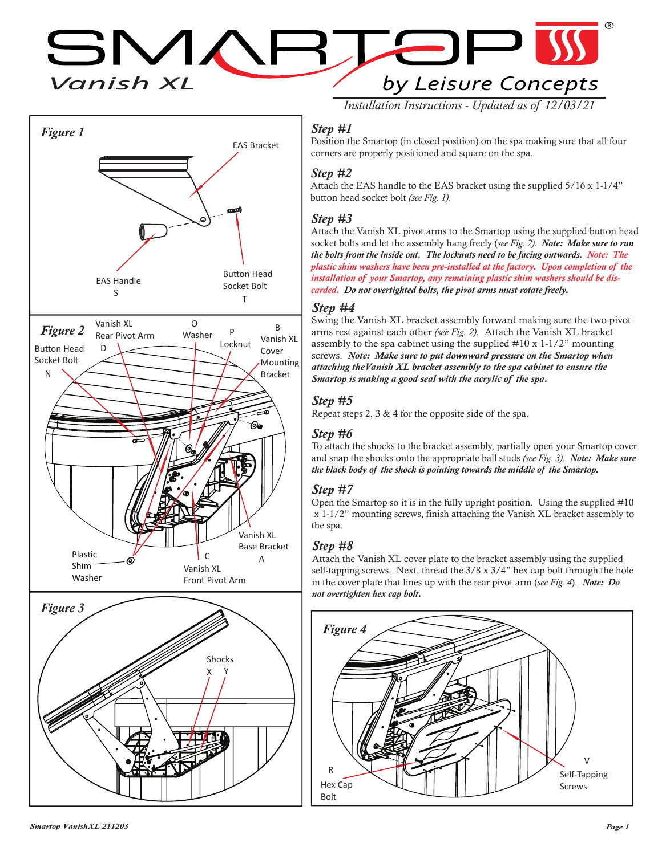*Vanish XL*  $\leftarrow$  $\Box$ by Leisure Concepts



*Installation Instructions - Updated as of 12/03/21*

## *Step #1*

Position the Smartop (in closed position) on the spa making sure that all four corners are properly positioned and square on the spa.

#### *Step #2*

Attach the EAS handle to the EAS bracket using the supplied 5/16 x 1-1/4" button head socket bolt *(see Fig. 1)*.

#### *Step #3*

Attach the Vanish XL pivot arms to the Smartop using the supplied button head socket bolts and let the assembly hang freely (*see Fig. 2). Note: Make sure to run the bolts from the inside out. The locknuts need to be facing outwards. Note: The plastic shim washers have been pre-installed at the factory. Upon completion of the installation of your Smartop, any remaining plastic shim washers should be discarded. Do not overtighted bolts, the pivot arms must rotate freely.*

#### *Step #4*

Swing the Vanish XL bracket assembly forward making sure the two pivot arms rest against each other *(see Fig. 2)*. Attach the Vanish XL bracket assembly to the spa cabinet using the supplied #10 x 1-1/2" mounting screws. *Note: Make sure to put downward pressure on the Smartop when attaching theVanish XL bracket assembly to the spa cabinet to ensure the Smartop is making a good seal with the acrylic of the spa.*

# *Step #5*

Repeat steps 2, 3 & 4 for the opposite side of the spa.

### *Step #6*

To attach the shocks to the bracket assembly, partially open your Smartop cover and snap the shocks onto the appropriate ball studs *(see Fig. 3)*. *Note: Make sure the black body of the shock is pointing towards the middle of the Smartop.*

### *Step #7*

Open the Smartop so it is in the fully upright position. Using the supplied #10 x 1-1/2" mounting screws, finish attaching the Vanish XL bracket assembly to the spa.

### *Step #8*

Attach the Vanish XL cover plate to the bracket assembly using the supplied self-tapping screws. Next, thread the 3/8 x 3/4" hex cap bolt through the hole in the cover plate that lines up with the rear pivot arm (*see Fig. 4*). *Note: Do not overtighten hex cap bolt.*